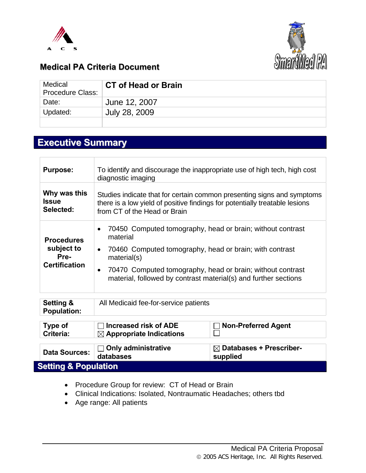



## **Medical PA Criteria Document**

| Medical<br><b>Procedure Class:</b> | <b>CT of Head or Brain</b> |
|------------------------------------|----------------------------|
| Date:                              | June 12, 2007              |
| Updated:                           | July 28, 2009              |
|                                    |                            |

# **Executive Summary**

| Setting &<br><b>Population:</b><br>Type of<br>Criteria:         | All Medicaid fee-for-service patients<br><b>Increased risk of ADE</b><br>$\boxtimes$ Appropriate Indications                                                                                                                                                                                                             | <b>Non-Preferred Agent</b> |  |
|-----------------------------------------------------------------|--------------------------------------------------------------------------------------------------------------------------------------------------------------------------------------------------------------------------------------------------------------------------------------------------------------------------|----------------------------|--|
| <b>Procedures</b><br>subject to<br>Pre-<br><b>Certification</b> | 70450 Computed tomography, head or brain; without contrast<br>$\bullet$<br>material<br>70460 Computed tomography, head or brain; with contrast<br>$\bullet$<br>material(s)<br>70470 Computed tomography, head or brain; without contrast<br>$\bullet$<br>material, followed by contrast material(s) and further sections |                            |  |
| <b>Purpose:</b><br>Why was this<br><b>Issue</b><br>Selected:    | To identify and discourage the inappropriate use of high tech, high cost<br>diagnostic imaging<br>Studies indicate that for certain common presenting signs and symptoms<br>there is a low yield of positive findings for potentially treatable lesions<br>from CT of the Head or Brain                                  |                            |  |

- Procedure Group for review: CT of Head or Brain
- Clinical Indications: Isolated, Nontraumatic Headaches; others tbd
- Age range: All patients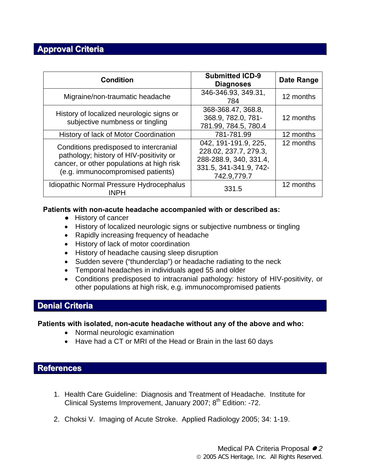## **Approval Criteria**

| <b>Condition</b>                                                                                                                                                    | <b>Submitted ICD-9</b><br><b>Diagnoses</b>                                                                       | Date Range |
|---------------------------------------------------------------------------------------------------------------------------------------------------------------------|------------------------------------------------------------------------------------------------------------------|------------|
| Migraine/non-traumatic headache                                                                                                                                     | 346-346.93, 349.31,<br>784                                                                                       | 12 months  |
| History of localized neurologic signs or<br>subjective numbness or tingling                                                                                         | 368-368.47, 368.8,<br>368.9, 782.0, 781-<br>781.99, 784.5, 780.4                                                 | 12 months  |
| History of lack of Motor Coordination                                                                                                                               | 781-781.99                                                                                                       | 12 months  |
| Conditions predisposed to intercranial<br>pathology; history of HIV-positivity or<br>cancer, or other populations at high risk<br>(e.g. immunocompromised patients) | 042, 191-191.9, 225,<br>228.02, 237.7, 279.3,<br>288-288.9, 340, 331.4,<br>331.5, 341-341.9, 742-<br>742.9,779.7 | 12 months  |
| Idiopathic Normal Pressure Hydrocephalus<br><b>INPH</b>                                                                                                             | 331.5                                                                                                            | 12 months  |

#### **Patients with non-acute headache accompanied with or described as:**

- **●** History of cancer
- History of localized neurologic signs or subjective numbness or tingling
- Rapidly increasing frequency of headache
- History of lack of motor coordination
- History of headache causing sleep disruption
- Sudden severe ("thunderclap") or headache radiating to the neck
- Temporal headaches in individuals aged 55 and older
- Conditions predisposed to intracranial pathology: history of HIV-positivity, or other populations at high risk, e.g. immunocompromised patients

## **Denial Criteria**

#### **Patients with isolated, non-acute headache without any of the above and who:**

- Normal neurologic examination
- Have had a CT or MRI of the Head or Brain in the last 60 days

### **References**

- 1. Health Care Guideline: Diagnosis and Treatment of Headache. Institute for Clinical Systems Improvement, January 2007; 8<sup>th</sup> Edition: -72.
- 2. Choksi V. Imaging of Acute Stroke. Applied Radiology 2005; 34: 1-19.